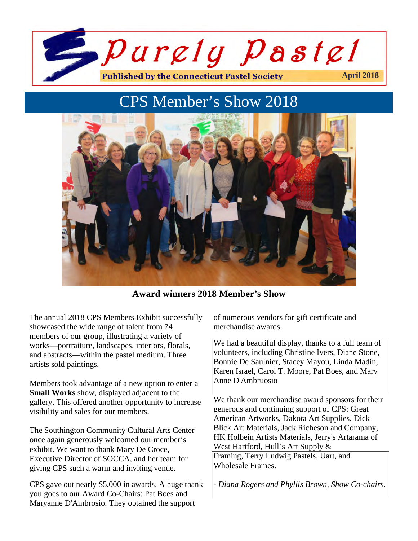

# CPS Member's Show 2018



**Award winners 2018 Member's Show**

The annual 2018 CPS Members Exhibit successfully showcased the wide range of talent from 74 members of our group, illustrating a variety of works—portraiture, landscapes, interiors, florals, and abstracts—within the pastel medium. Three artists sold paintings.

1

2

Members took advantage of a new option to enter a **Small Works** show, displayed adjacent to the gallery. This offered another opportunity to increase visibility and sales for our members.

The Southington Community Cultural Arts Center once again generously welcomed our member's exhibit. We want to thank Mary De Croce, Executive Director of SOCCA, and her team for giving CPS such a warm and inviting venue.

CPS gave out nearly \$5,000 in awards. A huge thank you goes to our Award Co-Chairs: Pat Boes and Maryanne D'Ambrosio. They obtained the support

of numerous vendors for gift certificate and merchandise awards.

We had a beautiful display, thanks to a full team of volunteers, including Christine Ivers, Diane Stone, Bonnie De Saulnier, Stacey Mayou, Linda Madin, Karen Israel, Carol T. Moore, Pat Boes, and Mary Anne D'Ambruosio

We thank our merchandise award sponsors for their generous and continuing support of CPS: Great American Artworks, Dakota Art Supplies, Dick Blick Art Materials, Jack Richeson and Company, HK Holbein Artists Materials, Jerry's Artarama of West Hartford, Hull's Art Supply & Framing, Terry Ludwig Pastels, Uart, and Wholesale Frames.

- *Diana Rogers and Phyllis Brown, Show Co-chairs.*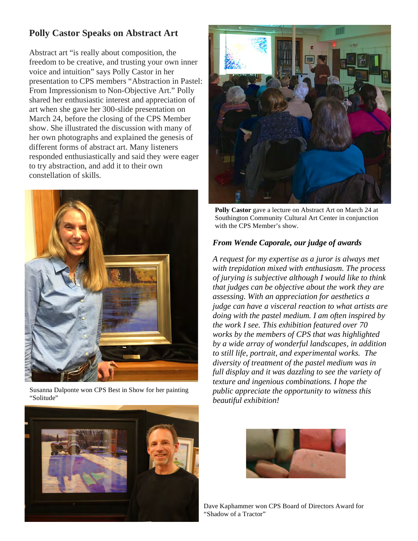# **Polly Castor Speaks on Abstract Art**

Abstract art "is really about composition, the freedom to be creative, and trusting your own inner voice and intuition" says Polly Castor in her presentation to CPS members "Abstraction in Pastel: From Impressionism to Non-Objective Art." Polly shared her enthusiastic interest and appreciation of art when she gave her 300-slide presentation on March 24, before the closing of the CPS Member show. She illustrated the discussion with many of her own photographs and explained the genesis of different forms of abstract art. Many listeners responded enthusiastically and said they were eager to try abstraction, and add it to their own constellation of skills.



Susanna Dalponte won CPS Best in Show for her painting "Solitude"



**Polly Castor** gave a lecture on Abstract Art on March 24 at Southington Community Cultural Art Center in conjunction with the CPS Member's show.

#### *From Wende Caporale, our judge of awards*

*A request for my expertise as a juror is always met with trepidation mixed with enthusiasm. The process of jurying is subjective although I would like to think that judges can be objective about the work they are assessing. With an appreciation for aesthetics a judge can have a visceral reaction to what artists are doing with the pastel medium. I am often inspired by the work I see. This exhibition featured over 70 works by the members of CPS that was highlighted by a wide array of wonderful landscapes, in addition to still life, portrait, and experimental works. The diversity of treatment of the pastel medium was in full display and it was dazzling to see the variety of texture and ingenious combinations. I hope the public appreciate the opportunity to witness this beautiful exhibition!* 





Dave Kaphammer won CPS Board of Directors Award for "Shadow of a Tractor"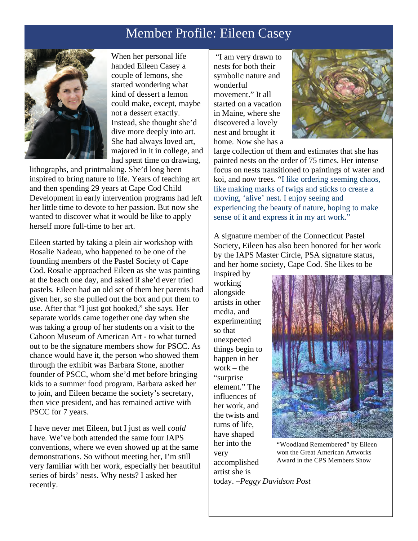# Member Profile: Eileen Casey



When her personal life handed Eileen Casey a couple of lemons, she started wondering what kind of dessert a lemon could make, except, maybe not a dessert exactly. Instead, she thought she'd dive more deeply into art. She had always loved art, majored in it in college, and had spent time on drawing,

lithographs, and printmaking. She'd long been inspired to bring nature to life. Years of teaching art and then spending 29 years at Cape Cod Child Development in early intervention programs had left her little time to devote to her passion. But now she wanted to discover what it would be like to apply herself more full-time to her art.

Eileen started by taking a plein air workshop with Rosalie Nadeau, who happened to be one of the founding members of the Pastel Society of Cape Cod. Rosalie approached Eileen as she was painting at the beach one day, and asked if she'd ever tried pastels. Eileen had an old set of them her parents had given her, so she pulled out the box and put them to use. After that "I just got hooked," she says. Her separate worlds came together one day when she was taking a group of her students on a visit to the Cahoon Museum of American Art - to what turned out to be the signature members show for PSCC. As chance would have it, the person who showed them through the exhibit was Barbara Stone, another founder of PSCC, whom she'd met before bringing kids to a summer food program. Barbara asked her to join, and Eileen became the society's secretary, then vice president, and has remained active with PSCC for 7 years.

I have never met Eileen, but I just as well *could* have. We've both attended the same four IAPS conventions, where we even showed up at the same demonstrations. So without meeting her, I'm still very familiar with her work, especially her beautiful series of birds' nests. Why nests? I asked her recently.

"I am very drawn to nests for both their symbolic nature and wonderful movement." It all started on a vacation in Maine, where she discovered a lovely nest and brought it home. Now she has a



large collection of them and estimates that she has painted nests on the order of 75 times. Her intense focus on nests transitioned to paintings of water and koi, and now trees. "I like ordering seeming chaos, like making marks of twigs and sticks to create a moving, 'alive' nest. I enjoy seeing and experiencing the beauty of nature, hoping to make sense of it and express it in my art work."

A signature member of the Connecticut Pastel Society, Eileen has also been honored for her work by the IAPS Master Circle, PSA signature status, and her home society, Cape Cod. She likes to be

inspired by working alongside artists in other media, and experimenting so that unexpected things begin to happen in her work – the "surprise element." The influences of her work, and the twists and turns of life, have shaped her into the very accomplished artist she is



"Woodland Remembered" by Eileen won the Great American Artworks Award in the CPS Members Show

today. –*Peggy Davidson Post*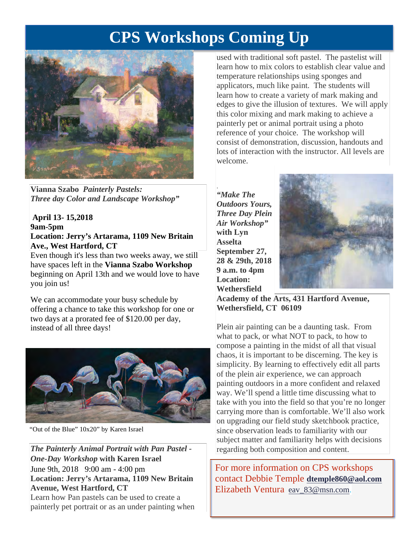# **CPS Workshops Coming Up**



**Vianna Szabo** *Painterly Pastels: Three day Color and Landscape Workshop"*

#### **April 13- 15,2018 9am-5pm Location: Jerry's Artarama, 1109 New Britain Ave., West Hartford, CT**

Even though it's less than two weeks away, we still have spaces left in the **Vianna Szabo Workshop** beginning on April 13th and we would love to have you join us!

We can accommodate your busy schedule by offering a chance to take this workshop for one or two days at a prorated fee of \$120.00 per day, instead of all three days!



"Out of the Blue" 10x20" by Karen Israel

*The Painterly Animal Portrait with Pan Pastel - One-Day Workshop* **with Karen Israel** June 9th, 2018 9:00 am - 4:00 pm **Location: Jerry's Artarama, 1109 New Britain Avenue, West Hartford, CT**  Learn how Pan pastels can be used to create a painterly pet portrait or as an under painting when

used with traditional soft pastel. The pastelist will learn how to mix colors to establish clear value and temperature relationships using sponges and applicators, much like paint. The students will learn how to create a variety of mark making and edges to give the illusion of textures. We will apply this color mixing and mark making to achieve a painterly pet or animal portrait using a photo reference of your choice. The workshop will consist of demonstration, discussion, handouts and lots of interaction with the instructor. All levels are welcome.

. *"Make The Outdoors Yours, Three Day Plein Air Workshop"* **with Lyn Asselta September 27, 28 & 29th, 2018 9 a.m. to 4pm Location: Wethersfield** 



**Academy of the Arts, 431 Hartford Avenue, Wethersfield, CT 06109**

Plein air painting can be a daunting task. From what to pack, or what NOT to pack, to how to compose a painting in the midst of all that visual chaos, it is important to be discerning. The key is simplicity. By learning to effectively edit all parts of the plein air experience, we can approach painting outdoors in a more confident and relaxed way. We'll spend a little time discussing what to take with you into the field so that you're no longer carrying more than is comfortable. We'll also work on upgrading our field study sketchbook practice, since observation leads to familiarity with our subject matter and familiarity helps with decisions regarding both composition and content.

For more information on CPS workshops contact Debbie Temple **dtemple860@aol.com** Elizabeth Ventura eav\_83@msn.com.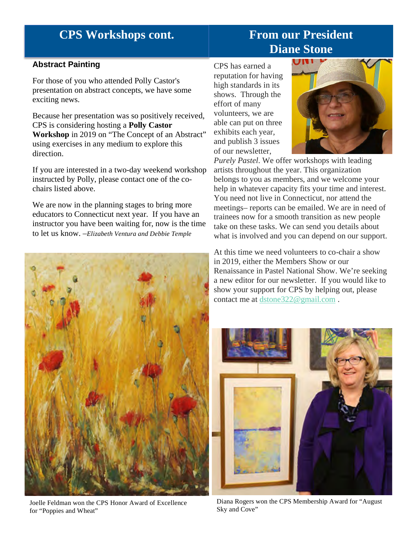# **CPS Workshops cont.**

# **From our President Diane Stone**

## **Abstract Painting**

For those of you who attended Polly Castor's presentation on abstract concepts, we have some exciting news.

Because her presentation was so positively received, CPS is considering hosting a **Polly Castor Workshop** in 2019 on "The Concept of an Abstract" using exercises in any medium to explore this direction.

If you are interested in a two-day weekend workshop instructed by Polly, please contact one of the cochairs listed above.

We are now in the planning stages to bring more educators to Connecticut next year. If you have an instructor you have been waiting for, now is the time to let us know. –*Elizabeth Ventura and Debbie Temple*



Joelle Feldman won the CPS Honor Award of Excellence for "Poppies and Wheat"

CPS has earned a reputation for having high standards in its shows. Through the effort of many volunteers, we are able can put on three exhibits each year, and publish 3 issues of our newsletter,



*Purely Pastel*. We offer workshops with leading artists throughout the year. This organization belongs to you as members, and we welcome your help in whatever capacity fits your time and interest. You need not live in Connecticut, nor attend the meetings– reports can be emailed. We are in need of trainees now for a smooth transition as new people take on these tasks. We can send you details about what is involved and you can depend on our support.

At this time we need volunteers to co-chair a show in 2019, either the Members Show or our Renaissance in Pastel National Show. We're seeking a new editor for our newsletter. If you would like to show your support for CPS by helping out, please contact me at dstone322@gmail.com .



Diana Rogers won the CPS Membership Award for "August Sky and Cove"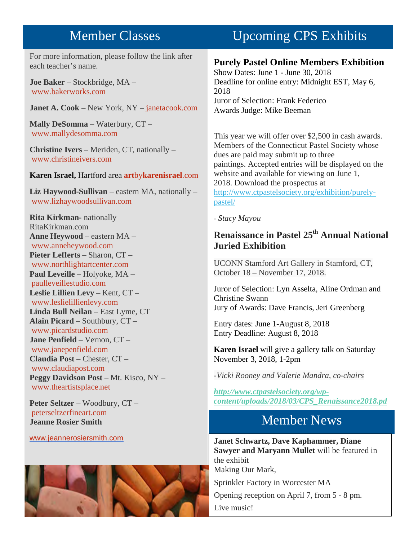# Member Classes

For more information, please follow the link after each teacher's name.

**Joe Baker** – Stockbridge, MA – www.bakerworks.com

**Janet A. Cook** – New York, NY – janetacook.com

**Mally DeSomma** – Waterbury, CT – www.mallydesomma.com

**Christine Ivers** – Meriden, CT, nationally – www.christineivers.com

#### **Karen Israel,** Hartford area **art**by**karenisrael**.com

**Liz Haywood-Sullivan** – eastern MA, nationally – www.lizhaywoodsullivan.com

**Rita Kirkman-** nationally RitaKirkman.com **Anne Heywood** – eastern MA – www.anneheywood.com **Pieter Lefferts** – Sharon, CT – www.northlightartcenter.com **Paul Leveille** – Holyoke, MA – paulleveillestudio.com **Leslie Lillien Levy** – Kent, CT – www.leslielillienlevy.com **Linda Bull Neilan** – East Lyme, CT **Alain Picard** – Southbury, CT – www.picardstudio.com **Jane Penfield** – Vernon, CT – www.janepenfield.com **Claudia Post** – Chester, CT – www.claudiapost.com **Peggy Davidson Post** – Mt. Kisco, NY – www.theartistsplace.net

**Peter Seltzer** – Woodbury, CT – peterseltzerfineart.com **Jeanne Rosier Smith**

#### www.jeannerosiersmith.com



# Upcoming CPS Exhibits

# **Purely Pastel Online Members Exhibition**

Show Dates: June 1 - June 30, 2018 Deadline for online entry: Midnight EST, May 6, 2018 Juror of Selection: Frank Federico Awards Judge: Mike Beeman

This year we will offer over \$2,500 in cash awards. Members of the Connecticut Pastel Society whose dues are paid may submit up to three paintings. Accepted entries will be displayed on the website and available for viewing on June 1, 2018. Download the prospectus at http://www.ctpastelsociety.org/exhibition/purelypastel/

*- Stacy Mayou*

# **Renaissance in Pastel 25th Annual National Juried Exhibition**

UCONN Stamford Art Gallery in Stamford, CT, October 18 – November 17, 2018.

Juror of Selection: Lyn Asselta, Aline Ordman and Christine Swann Jury of Awards: Dave Francis, Jeri Greenberg

Entry dates: June 1-August 8, 2018 Entry Deadline: August 8, 2018

**Karen Israel** will give a gallery talk on Saturday November 3, 2018, 1-2pm

*-Vicki Rooney and Valerie Mandra, co-chairs*

*http://www.ctpastelsociety.org/wpcontent/uploads/2018/03/CPS\_Renaissance2018.pd*

# Member News

**Janet Schwartz, Dave Kaphammer, Diane Sawyer and Maryann Mullet** will be featured in the exhibit

Making Our Mark,

Sprinkler Factory in Worcester MA

Opening reception on April 7, from 5 - 8 pm.

Live music!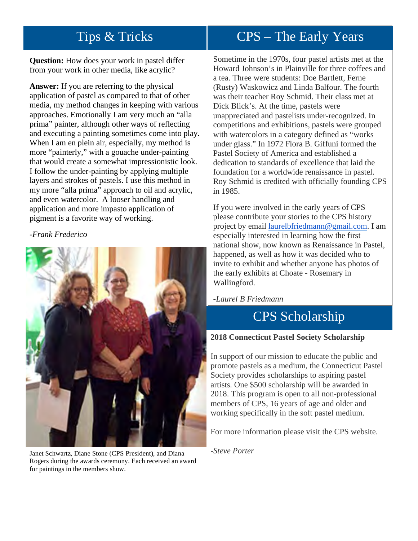**Question:** How does your work in pastel differ from your work in other media, like acrylic?

**Answer:** If you are referring to the physical application of pastel as compared to that of other media, my method changes in keeping with various approaches. Emotionally I am very much an "alla prima" painter, although other ways of reflecting and executing a painting sometimes come into play. When I am en plein air, especially, my method is more "painterly," with a gouache under-painting that would create a somewhat impressionistic look. I follow the under-painting by applying multiple layers and strokes of pastels. I use this method in my more "alla prima" approach to oil and acrylic, and even watercolor. A looser handling and application and more impasto application of pigment is a favorite way of working.

## *-Frank Frederico*



Janet Schwartz, Diane Stone (CPS President), and Diana Rogers during the awards ceremony. Each received an award for paintings in the members show.

#### $CDC$  The Farly Veard Tips & Tricks CPS – The Early Years

Sometime in the 1970s, four pastel artists met at the Howard Johnson's in Plainville for three coffees and a tea. Three were students: Doe Bartlett, Ferne (Rusty) Waskowicz and Linda Balfour. The fourth was their teacher Roy Schmid. Their class met at Dick Blick's. At the time, pastels were unappreciated and pastelists under-recognized. In competitions and exhibitions, pastels were grouped with watercolors in a category defined as "works" under glass." In 1972 Flora B. Giffuni formed the Pastel Society of America and established a dedication to standards of excellence that laid the foundation for a worldwide renaissance in pastel. Roy Schmid is credited with officially founding CPS in 1985.

If you were involved in the early years of CPS please contribute your stories to the CPS history project by email laurelbfriedmann@gmail.com. I am especially interested in learning how the first national show, now known as Renaissance in Pastel, happened, as well as how it was decided who to invite to exhibit and whether anyone has photos of the early exhibits at Choate - Rosemary in Wallingford.

# *-Laurel B Friedmann*

# CPS Scholarship

## **2018 Connecticut Pastel Society Scholarship**

In support of our mission to educate the public and promote pastels as a medium, the Connecticut Pastel Society provides scholarships to aspiring pastel artists. One \$500 scholarship will be awarded in 2018. This program is open to all non-professional members of CPS, 16 years of age and older and working specifically in the soft pastel medium.

For more information please visit the CPS website.

*-Steve Porter*